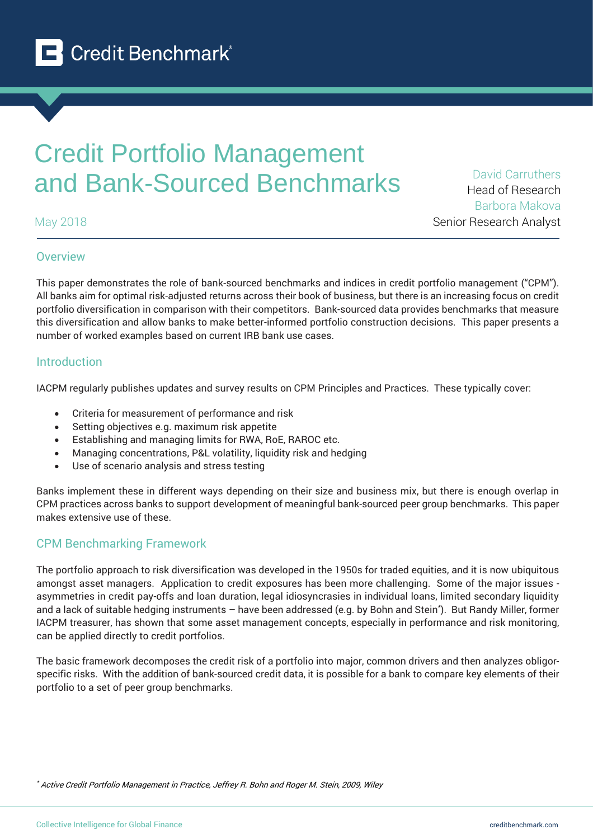

# Credit Portfolio Management and Bank-Sourced Benchmarks David Carruthers

May 2018

Head of Research Barbora Makova Senior Research Analyst

# **Overview**

This paper demonstrates the role of bank-sourced benchmarks and indices in credit portfolio management ("CPM"). All banks aim for optimal risk-adjusted returns across their book of business, but there is an increasing focus on credit portfolio diversification in comparison with their competitors. Bank-sourced data provides benchmarks that measure this diversification and allow banks to make better-informed portfolio construction decisions. This paper presents a number of worked examples based on current IRB bank use cases.

# Introduction

IACPM regularly publishes updates and survey results on CPM Principles and Practices. These typically cover:

- Criteria for measurement of performance and risk
- Setting objectives e.g. maximum risk appetite
- Establishing and managing limits for RWA, RoE, RAROC etc.
- Managing concentrations, P&L volatility, liquidity risk and hedging
- Use of scenario analysis and stress testing

Banks implement these in different ways depending on their size and business mix, but there is enough overlap in CPM practices across banks to support development of meaningful bank-sourced peer group benchmarks. This paper makes extensive use of these.

# CPM Benchmarking Framework

The portfolio approach to risk diversification was developed in the 1950s for traded equities, and it is now ubiquitous amongst asset managers. Application to credit exposures has been more challenging. Some of the major issues asymmetries in credit pay-offs and loan duration, legal idiosyncrasies in individual loans, limited secondary liquidity and a lack of suitable hedging instruments – have been addressed (e.g. by Bohn and Stein\* ). But Randy Miller, former IACPM treasurer, has shown that some asset management concepts, especially in performance and risk monitoring, can be applied directly to credit portfolios.

The basic framework decomposes the credit risk of a portfolio into major, common drivers and then analyzes obligorspecific risks. With the addition of bank-sourced credit data, it is possible for a bank to compare key elements of their portfolio to a set of peer group benchmarks.

\* Active Credit Portfolio Management in Practice, Jeffrey R. Bohn and Roger M. Stein, 2009, Wiley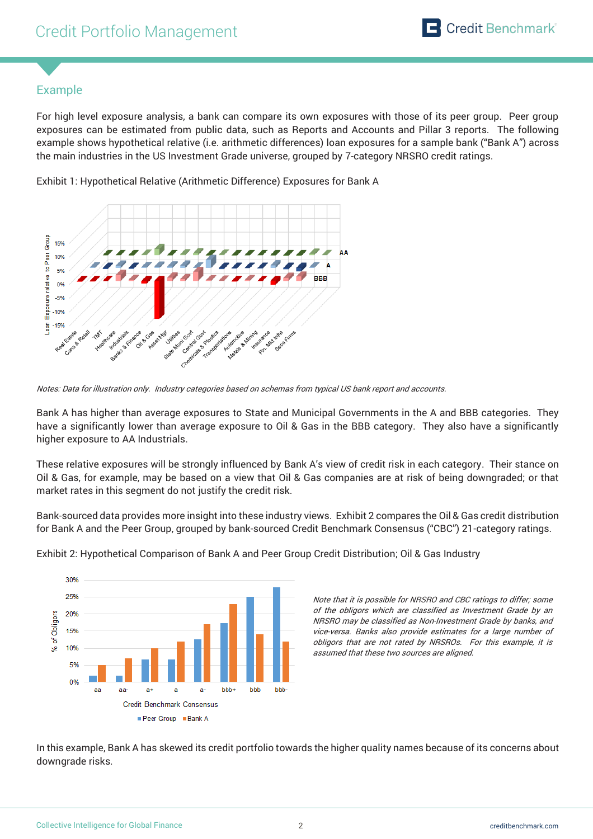# Example

For high level exposure analysis, a bank can compare its own exposures with those of its peer group. Peer group exposures can be estimated from public data, such as Reports and Accounts and Pillar 3 reports. The following example shows hypothetical relative (i.e. arithmetic differences) loan exposures for a sample bank ("Bank A") across the main industries in the US Investment Grade universe, grouped by 7-category NRSRO credit ratings.





Notes: Data for illustration only. Industry categories based on schemas from typical US bank report and accounts.

Bank A has higher than average exposures to State and Municipal Governments in the A and BBB categories. They have a significantly lower than average exposure to Oil & Gas in the BBB category. They also have a significantly higher exposure to AA Industrials.

These relative exposures will be strongly influenced by Bank A's view of credit risk in each category. Their stance on Oil & Gas, for example, may be based on a view that Oil & Gas companies are at risk of being downgraded; or that market rates in this segment do not justify the credit risk.

Bank-sourced data provides more insight into these industry views. Exhibit 2 compares the Oil & Gas credit distribution for Bank A and the Peer Group, grouped by bank-sourced Credit Benchmark Consensus ("CBC") 21-category ratings.



Exhibit 2: Hypothetical Comparison of Bank A and Peer Group Credit Distribution; Oil & Gas Industry

Note that it is possible for NRSRO and CBC ratings to differ; some of the obligors which are classified as Investment Grade by an NRSRO may be classified as Non-Investment Grade by banks, and vice-versa. Banks also provide estimates for a large number of obligors that are not rated by NRSROs. For this example, it is assumed that these two sources are aligned.

In this example, Bank A has skewed its credit portfolio towards the higher quality names because of its concerns about downgrade risks.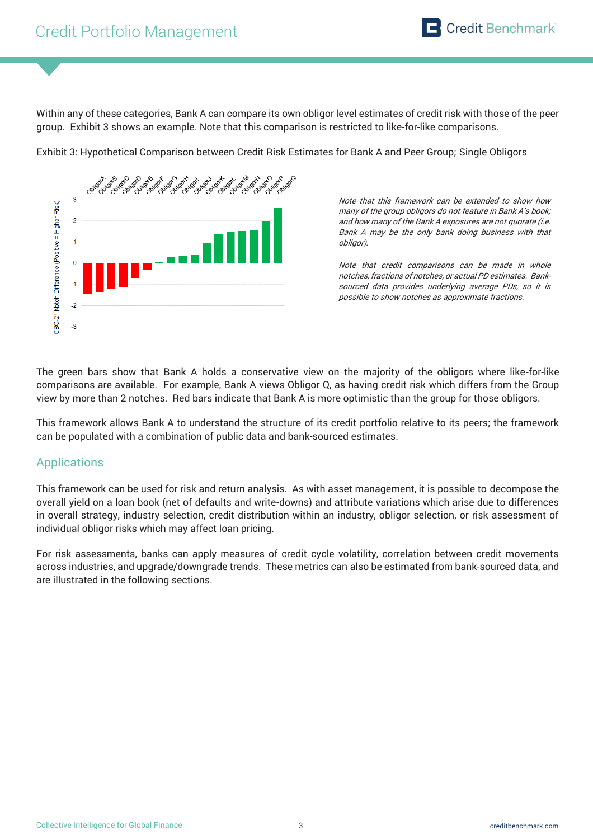Within any of these categories, Bank A can compare its own obligor level estimates of credit risk with those of the peer group. Exhibit 3 shows an example. Note that this comparison is restricted to like-for-like comparisons.

Exhibit 3: Hypothetical Comparison between Credit Risk Estimates for Bank A and Peer Group; Single Obligors



Note that this framework can be extended to show how many of the group obligors do not feature in Bank A's book; and how many of the Bank A exposures are not quorate (i.e. Bank A may be the only bank doing business with that obligor).

Note that credit comparisons can be made in whole notches, fractions of notches, or actual PD estimates. Banksourced data provides underlying average PDs, so it is possible to show notches as approximate fractions.

The green bars show that Bank A holds a conservative view on the majority of the obligors where like-for-like comparisons are available. For example, Bank A views Obligor Q, as having credit risk which differs from the Group view by more than 2 notches. Red bars indicate that Bank A is more optimistic than the group for those obligors.

This framework allows Bank A to understand the structure of its credit portfolio relative to its peers; the framework can be populated with a combination of public data and bank-sourced estimates.

# Applications

This framework can be used for risk and return analysis. As with asset management, it is possible to decompose the overall yield on a loan book (net of defaults and write-downs) and attribute variations which arise due to differences in overall strategy, industry selection, credit distribution within an industry, obligor selection, or risk assessment of individual obligor risks which may affect loan pricing.

For risk assessments, banks can apply measures of credit cycle volatility, correlation between credit movements across industries, and upgrade/downgrade trends. These metrics can also be estimated from bank-sourced data, and are illustrated in the following sections.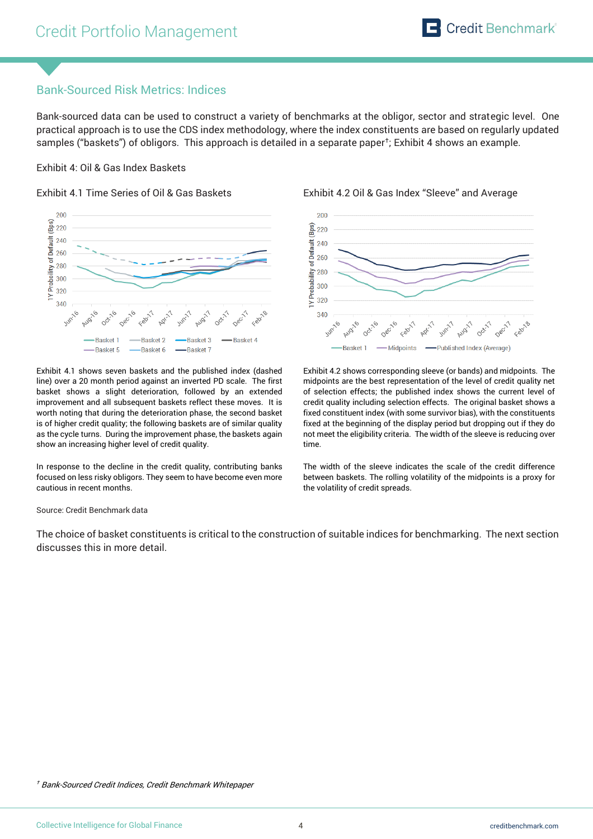# Bank-Sourced Risk Metrics: Indices

Bank-sourced data can be used to construct a variety of benchmarks at the obligor, sector and strategic level. One practical approach is to use the CDS index methodology, where the index constituents are based on regularly updated samples ("baskets") of obligors. This approach is detailed in a separate paper† ; Exhibit 4 shows an example.

### Exhibit 4: Oil & Gas Index Baskets



Exhibit 4.1 shows seven baskets and the published index (dashed line) over a 20 month period against an inverted PD scale. The first basket shows a slight deterioration, followed by an extended improvement and all subsequent baskets reflect these moves. It is worth noting that during the deterioration phase, the second basket is of higher credit quality; the following baskets are of similar quality as the cycle turns. During the improvement phase, the baskets again show an increasing higher level of credit quality.

In response to the decline in the credit quality, contributing banks focused on less risky obligors. They seem to have become even more cautious in recent months.

Exhibit 4.1 Time Series of Oil & Gas Baskets Exhibit 4.2 Oil & Gas Index "Sleeve" and Average



Exhibit 4.2 shows corresponding sleeve (or bands) and midpoints. The midpoints are the best representation of the level of credit quality net of selection effects; the published index shows the current level of credit quality including selection effects. The original basket shows a fixed constituent index (with some survivor bias), with the constituents fixed at the beginning of the display period but dropping out if they do not meet the eligibility criteria. The width of the sleeve is reducing over time.

The width of the sleeve indicates the scale of the credit difference between baskets. The rolling volatility of the midpoints is a proxy for the volatility of credit spreads.

Source: Credit Benchmark data

The choice of basket constituents is critical to the construction of suitable indices for benchmarking. The next section discusses this in more detail.

† Bank-Sourced Credit Indices, Credit Benchmark Whitepaper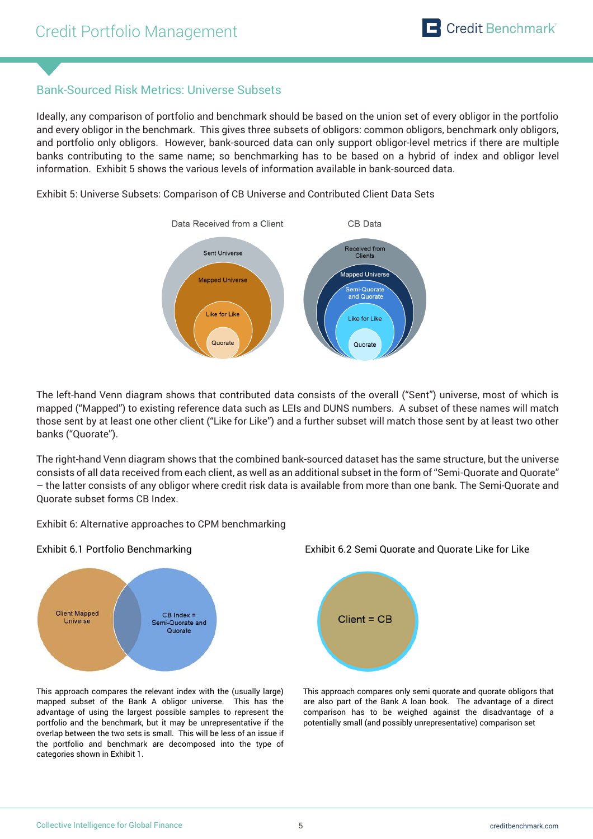# Bank-Sourced Risk Metrics: Universe Subsets

Ideally, any comparison of portfolio and benchmark should be based on the union set of every obligor in the portfolio and every obligor in the benchmark. This gives three subsets of obligors: common obligors, benchmark only obligors, and portfolio only obligors. However, bank-sourced data can only support obligor-level metrics if there are multiple banks contributing to the same name; so benchmarking has to be based on a hybrid of index and obligor level information. Exhibit 5 shows the various levels of information available in bank-sourced data.

Exhibit 5: Universe Subsets: Comparison of CB Universe and Contributed Client Data Sets



The left-hand Venn diagram shows that contributed data consists of the overall ("Sent") universe, most of which is mapped ("Mapped") to existing reference data such as LEIs and DUNS numbers. A subset of these names will match those sent by at least one other client ("Like for Like") and a further subset will match those sent by at least two other banks ("Quorate").

The right-hand Venn diagram shows that the combined bank-sourced dataset has the same structure, but the universe consists of all data received from each client, as well as an additional subset in the form of "Semi-Quorate and Quorate" – the latter consists of any obligor where credit risk data is available from more than one bank. The Semi-Quorate and Quorate subset forms CB Index.

Exhibit 6: Alternative approaches to CPM benchmarking



This approach compares the relevant index with the (usually large) mapped subset of the Bank A obligor universe. This has the advantage of using the largest possible samples to represent the portfolio and the benchmark, but it may be unrepresentative if the overlap between the two sets is small. This will be less of an issue if the portfolio and benchmark are decomposed into the type of categories shown in Exhibit 1.





This approach compares only semi quorate and quorate obligors that are also part of the Bank A loan book. The advantage of a direct comparison has to be weighed against the disadvantage of a potentially small (and possibly unrepresentative) comparison set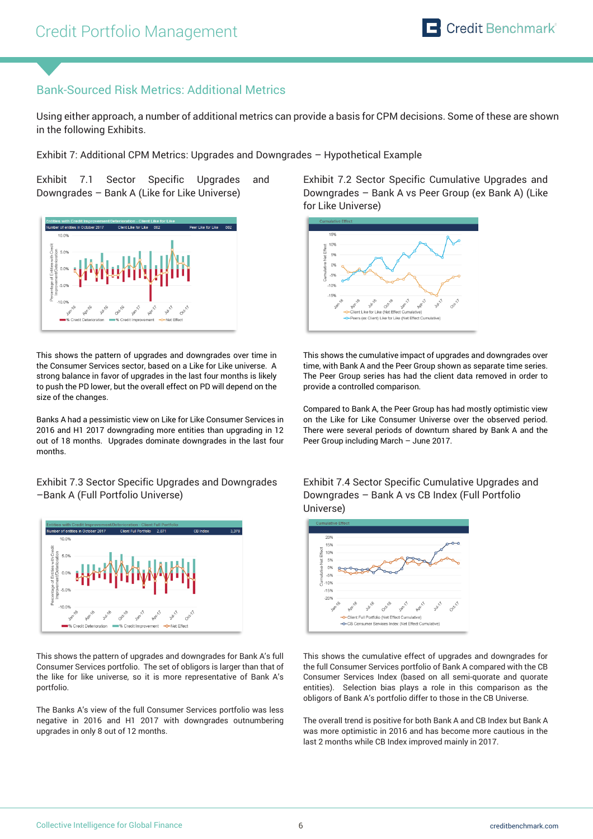# Bank-Sourced Risk Metrics: Additional Metrics

Using either approach, a number of additional metrics can provide a basis for CPM decisions. Some of these are shown in the following Exhibits.

Exhibit 7: Additional CPM Metrics: Upgrades and Downgrades – Hypothetical Example

Exhibit 7.1 Sector Specific Upgrades and Downgrades – Bank A (Like for Like Universe)



This shows the pattern of upgrades and downgrades over time in the Consumer Services sector, based on a Like for Like universe. A strong balance in favor of upgrades in the last four months is likely to push the PD lower, but the overall effect on PD will depend on the size of the changes.

Banks A had a pessimistic view on Like for Like Consumer Services in 2016 and H1 2017 downgrading more entities than upgrading in 12 out of 18 months. Upgrades dominate downgrades in the last four months.

Exhibit 7.3 Sector Specific Upgrades and Downgrades –Bank A (Full Portfolio Universe)



This shows the pattern of upgrades and downgrades for Bank A's full Consumer Services portfolio. The set of obligors is larger than that of the like for like universe, so it is more representative of Bank A's portfolio.

The Banks A's view of the full Consumer Services portfolio was less negative in 2016 and H1 2017 with downgrades outnumbering upgrades in only 8 out of 12 months.

Exhibit 7.2 Sector Specific Cumulative Upgrades and Downgrades – Bank A vs Peer Group (ex Bank A) (Like for Like Universe)



This shows the cumulative impact of upgrades and downgrades over time, with Bank A and the Peer Group shown as separate time series. The Peer Group series has had the client data removed in order to provide a controlled comparison.

Compared to Bank A, the Peer Group has had mostly optimistic view on the Like for Like Consumer Universe over the observed period. There were several periods of downturn shared by Bank A and the Peer Group including March – June 2017.

Exhibit 7.4 Sector Specific Cumulative Upgrades and Downgrades – Bank A vs CB Index (Full Portfolio Universe)



This shows the cumulative effect of upgrades and downgrades for the full Consumer Services portfolio of Bank A compared with the CB Consumer Services Index (based on all semi-quorate and quorate entities). Selection bias plays a role in this comparison as the obligors of Bank A's portfolio differ to those in the CB Universe.

The overall trend is positive for both Bank A and CB Index but Bank A was more optimistic in 2016 and has become more cautious in the last 2 months while CB Index improved mainly in 2017.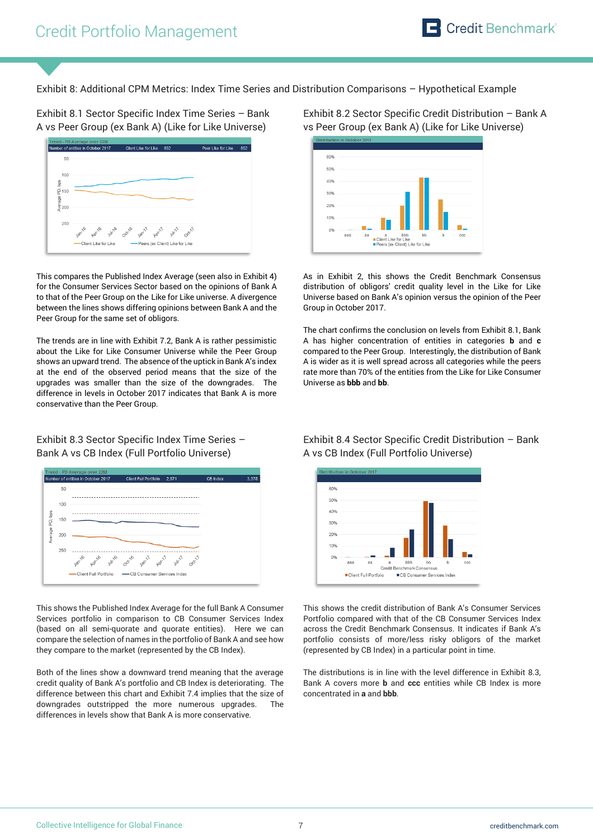Exhibit 8: Additional CPM Metrics: Index Time Series and Distribution Comparisons – Hypothetical Example

Exhibit 8.1 Sector Specific Index Time Series – Bank A vs Peer Group (ex Bank A) (Like for Like Universe)



This compares the Published Index Average (seen also in Exhibit 4) for the Consumer Services Sector based on the opinions of Bank A to that of the Peer Group on the Like for Like universe. A divergence between the lines shows differing opinions between Bank A and the Peer Group for the same set of obligors.

The trends are in line with Exhibit 7.2, Bank A is rather pessimistic about the Like for Like Consumer Universe while the Peer Group shows an upward trend. The absence of the uptick in Bank A's index at the end of the observed period means that the size of the upgrades was smaller than the size of the downgrades. The difference in levels in October 2017 indicates that Bank A is more conservative than the Peer Group.

Exhibit 8.3 Sector Specific Index Time Series – Bank A vs CB Index (Full Portfolio Universe)



This shows the Published Index Average for the full Bank A Consumer Services portfolio in comparison to CB Consumer Services Index (based on all semi-quorate and quorate entities). Here we can compare the selection of names in the portfolio of Bank A and see how they compare to the market (represented by the CB Index).

Both of the lines show a downward trend meaning that the average credit quality of Bank A's portfolio and CB Index is deteriorating. The difference between this chart and Exhibit 7.4 implies that the size of downgrades outstripped the more numerous upgrades. The differences in levels show that Bank A is more conservative.

Exhibit 8.2 Sector Specific Credit Distribution – Bank A vs Peer Group (ex Bank A) (Like for Like Universe)



As in Exhibit 2, this shows the Credit Benchmark Consensus distribution of obligors' credit quality level in the Like for Like Universe based on Bank A's opinion versus the opinion of the Peer Group in October 2017.

The chart confirms the conclusion on levels from Exhibit 8.1, Bank A has higher concentration of entities in categories **b** and **c** compared to the Peer Group. Interestingly, the distribution of Bank A is wider as it is well spread across all categories while the peers rate more than 70% of the entities from the Like for Like Consumer Universe as **bbb** and **bb**.

Exhibit 8.4 Sector Specific Credit Distribution – Bank A vs CB Index (Full Portfolio Universe)



This shows the credit distribution of Bank A's Consumer Services Portfolio compared with that of the CB Consumer Services Index across the Credit Benchmark Consensus. It indicates if Bank A's portfolio consists of more/less risky obligors of the market (represented by CB Index) in a particular point in time.

The distributions is in line with the level difference in Exhibit 8.3, Bank A covers more **b** and **ccc** entities while CB Index is more concentrated in **a** and **bbb**.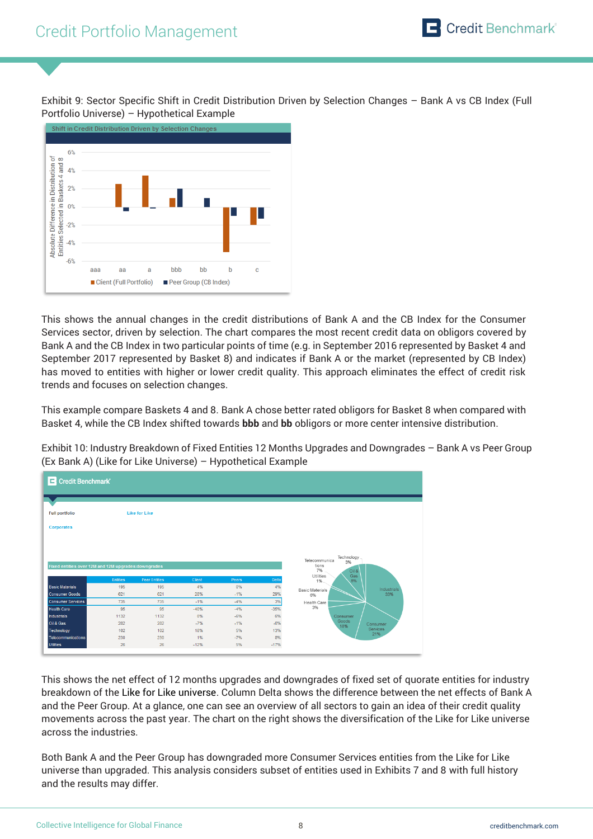Exhibit 9: Sector Specific Shift in Credit Distribution Driven by Selection Changes – Bank A vs CB Index (Full Portfolio Universe) – Hypothetical Example



This shows the annual changes in the credit distributions of Bank A and the CB Index for the Consumer Services sector, driven by selection. The chart compares the most recent credit data on obligors covered by Bank A and the CB Index in two particular points of time (e.g. in September 2016 represented by Basket 4 and September 2017 represented by Basket 8) and indicates if Bank A or the market (represented by CB Index) has moved to entities with higher or lower credit quality. This approach eliminates the effect of credit risk trends and focuses on selection changes.

This example compare Baskets 4 and 8. Bank A chose better rated obligors for Basket 8 when compared with Basket 4, while the CB Index shifted towards **bbb** and **bb** obligors or more center intensive distribution.

Exhibit 10: Industry Breakdown of Fixed Entities 12 Months Upgrades and Downgrades – Bank A vs Peer Group (Ex Bank A) (Like for Like Universe) – Hypothetical Example

| Credit Benchmark                                    |                 |                             |        |             |             |                                                           |  |  |  |  |
|-----------------------------------------------------|-----------------|-----------------------------|--------|-------------|-------------|-----------------------------------------------------------|--|--|--|--|
|                                                     |                 |                             |        |             |             |                                                           |  |  |  |  |
| <b>Full portfolio</b>                               |                 | <b>Like for Like</b>        |        |             |             |                                                           |  |  |  |  |
| <b>Corporates</b>                                   |                 |                             |        |             |             |                                                           |  |  |  |  |
|                                                     |                 |                             |        |             |             |                                                           |  |  |  |  |
|                                                     |                 |                             |        |             |             |                                                           |  |  |  |  |
|                                                     |                 |                             |        |             |             |                                                           |  |  |  |  |
|                                                     |                 |                             |        |             |             | Technology                                                |  |  |  |  |
| Fixed entities over 12M and 12M upgrades:downgrades |                 |                             |        |             |             | Telecommunica<br>3%<br>tions                              |  |  |  |  |
|                                                     | <b>Entities</b> |                             | Client |             |             | 7%<br>Oil &<br>Gas<br>Utilities                           |  |  |  |  |
| <b>Basic Materials</b>                              | 195             | <b>Peer Entities</b><br>195 | 4%     | Peers<br>0% | Delta<br>4% | 8%<br>1%                                                  |  |  |  |  |
| <b>Consumer Goods</b>                               | 621             | 621                         | 28%    | $-1%$       | 29%         | <b>Industrials</b><br><b>Basic Materials</b><br>33%<br>6% |  |  |  |  |
| <b>Consumer Services</b>                            | 735             | 735                         | $-1%$  | $-4%$       | 3%          | Health Care                                               |  |  |  |  |
| <b>Health Care</b>                                  | 95              | 95                          | $-40%$ | $-4%$       | $-35%$      | 3%                                                        |  |  |  |  |
| <b>Industrials</b>                                  | 1132            | 1132                        | 0%     | $-6%$       | 6%          | Consumer                                                  |  |  |  |  |
| Oil & Gas                                           | 282             | 282                         | $-7%$  | $-1%$       | $-6%$       | Goods<br>Consumer                                         |  |  |  |  |
| Technology                                          | 102             | 102                         | 18%    | 5%          | 13%         | 18%<br>Services                                           |  |  |  |  |
| Telecommunications                                  | 230             | 230                         | 1%     | $-7%$       | 8%          | 21%                                                       |  |  |  |  |

This shows the net effect of 12 months upgrades and downgrades of fixed set of quorate entities for industry breakdown of the Like for Like universe. Column Delta shows the difference between the net effects of Bank A and the Peer Group. At a glance, one can see an overview of all sectors to gain an idea of their credit quality movements across the past year. The chart on the right shows the diversification of the Like for Like universe across the industries.

Both Bank A and the Peer Group has downgraded more Consumer Services entities from the Like for Like universe than upgraded. This analysis considers subset of entities used in Exhibits 7 and 8 with full history and the results may differ.